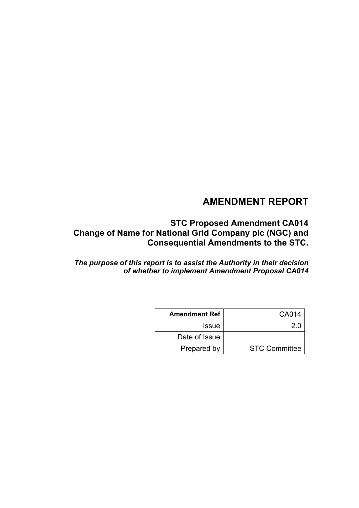# **AMENDMENT REPORT**

**STC Proposed Amendment CA014 Change of Name for National Grid Company plc (NGC) and Consequential Amendments to the STC.**

*The purpose of this report is to assist the Authority in their decision of whether to implement Amendment Proposal CA014*

| <b>Amendment Ref</b> | CA014                |
|----------------------|----------------------|
| <b>Issue</b>         | 20                   |
| Date of Issue        |                      |
| Prepared by          | <b>STC Committee</b> |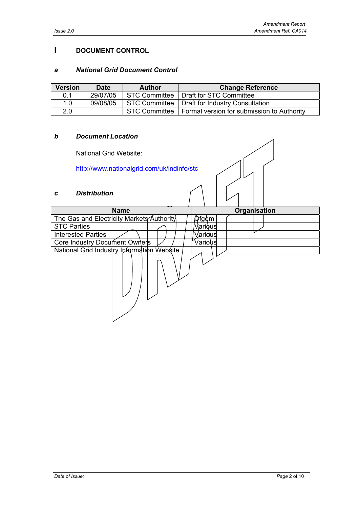### **I DOCUMENT CONTROL**

### *a National Grid Document Control*

| <b>Version</b> | <b>Date</b> | <b>Author</b> | <b>Change Reference</b>                                    |
|----------------|-------------|---------------|------------------------------------------------------------|
| 0.1            | 29/07/05    | STC Committee | Draft for STC Committee                                    |
| 1.0            | 09/08/05    |               | STC Committee   Draft for Industry Consultation            |
| 2.0            |             |               | STC Committee   Formal version for submission to Authority |

#### *b Document Location*

National Grid Website:

http://www.nationalgrid.com/uk/indinfo/stc

### *c Distribution*

| <b>Name</b>                                | Organisation |  |  |
|--------------------------------------------|--------------|--|--|
| The Gas and Electricity Markets Authority  | <b>Dfgem</b> |  |  |
| <b>STC Parties</b>                         | Various      |  |  |
| <b>Interested Parties</b>                  | Varidus      |  |  |
| Core Industry Document Owners              | Various      |  |  |
| National Grid Industry Ipformation Website |              |  |  |
|                                            |              |  |  |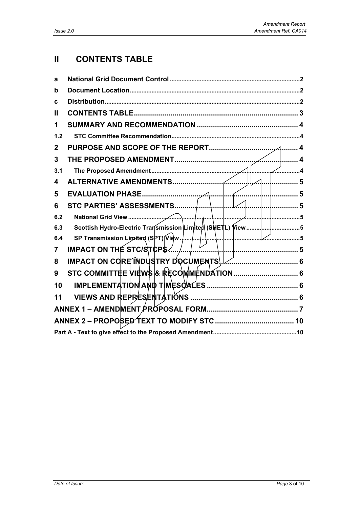# **II CONTENTS TABLE**

| а            |                                                                  |   |
|--------------|------------------------------------------------------------------|---|
| b            |                                                                  |   |
| C            |                                                                  |   |
| Ш            |                                                                  |   |
| 1            |                                                                  |   |
| $1.2$        |                                                                  |   |
| $\mathbf{2}$ |                                                                  |   |
| 3            |                                                                  |   |
| 3.1          |                                                                  |   |
| 4            | . 5                                                              |   |
| 5            |                                                                  | 5 |
| 6            | STC PARTIES' ASSESSMENTS<br>. 5                                  |   |
| 6.2          | 5                                                                |   |
| 6.3          | Scottish Hydro-Electric Transmission Limited (SHETL) View<br>. 5 |   |
| 6.4          | SP Transmission Limited (SPT) View.                              |   |
| 7            | IMPACT ON THE STC/STCP\$                                         |   |
| 8            | IMPACT ON CORE INDUSTRY DOCUMENTS                                |   |
| 9            |                                                                  |   |
| 10           |                                                                  |   |
| 11           |                                                                  |   |
|              |                                                                  |   |
|              |                                                                  |   |
|              |                                                                  |   |
|              |                                                                  |   |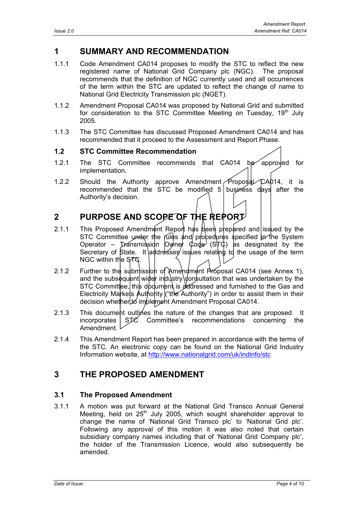## **1 SUMMARY AND RECOMMENDATION**

- 1.1.1 Code Amendment CA014 proposes to modify the STC to reflect the new registered name of National Grid Company plc (NGC). The proposal recommends that the definition of NGC currently used and all occurrences of the term within the STC are updated to reflect the change of name to National Grid Electricity Transmission plc (NGET).
- 1.1.2 Amendment Proposal CA014 was proposed by National Grid and submitted for consideration to the STC Committee Meeting on Tuesday, 19<sup>th</sup> July 2005.
- 1.1.3 The STC Committee has discussed Proposed Amendment CA014 and has recommended that it proceed to the Assessment and Report Phase.

### **1.2 STC Committee Recommendation**

- 1.2.1 The STC Committee recommends that CA014 be approved for implementation.
- 1.2.2 Should the Authority approve Amendment  $\widehat{\text{Proposition}}$ CA014, it is recommended that the STC be modified  $5$  business days after the Authority's decision.

# **2 PURPOSE AND SCOPE OF THE REPORT**

- 2.1.1 This Proposed Amendment Report has been prepared and issued by the STC Committee under the rules and procedures specified in the System Operator – Transmission Owner Code  $(S|T)$  as designated by the Secretary of State. It addresses issues relating to the usage of the term NGC within the STC.
- 2.1.2 Further to the submission of Amendment Proposal CA014 (see Annex 1), and the subsequent wider industry donsultation that was undertaken by the STC Committee, this document is addressed and furnished to the Gas and Electricity Markets Authority ("the Authority") in order to assist them in their decision whether to implement Amendment Proposal CA014.
- 2.1.3 This document outlines the nature of the changes that are proposed. It incorporates STC Committee's recommendations concerning the Amendment.
- 2.1.4 This Amendment Report has been prepared in accordance with the terms of the STC. An electronic copy can be found on the National Grid Industry Information website, at http://www.nationalgrid.com/uk/indinfo/stc

## **3 THE PROPOSED AMENDMENT**

### **3.1 The Proposed Amendment**

3.1.1 A motion was put forward at the National Grid Transco Annual General Meeting, held on  $25<sup>th</sup>$  July 2005, which sought shareholder approval to change the name of 'National Grid Transco plc' to 'National Grid plc'. Following any approval of this motion it was also noted that certain subsidiary company names including that of 'National Grid Company plc', the holder of the Transmission Licence, would also subsequently be amended.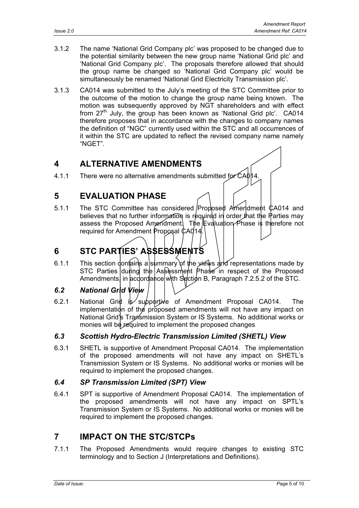- 3.1.2 The name 'National Grid Company plc' was proposed to be changed due to the potential similarity between the new group name 'National Grid plc' and 'National Grid Company plc'. The proposals therefore allowed that should the group name be changed so 'National Grid Company plc' would be simultaneously be renamed 'National Grid Electricity Transmission plc'.
- 3.1.3 CA014 was submitted to the July's meeting of the STC Committee prior to the outcome of the motion to change the group name being known. The motion was subsequently approved by NGT shareholders and with effect from  $27<sup>th</sup>$  July, the group has been known as 'National Grid plc'. CA014 therefore proposes that in accordance with the changes to company names the definition of "NGC" currently used within the STC and all occurrences of it within the STC are updated to reflect the revised company name namely "NGET".

## **4 ALTERNATIVE AMENDMENTS**

4.1.1 There were no alternative amendments submitted for CA014

## **5 EVALUATION PHASE**

5.1.1 The STC Committee has considered Proposed Ameriament CA014 and believes that no further information is required in order that the Parties may assess the Proposed Amendment. The Evaluation Phase is therefore not required for Amendment Proposal CA014.

# **6 STC PARTIES' ASSESSMENTS**

6.1.1 This section dontains a summary of the views and representations made by STC Parties during the Assessment Phase in respect of the Proposed Amendments, in accordance with Section B, Paragraph 7.2.5.2 of the STC.

## *6.2 National Grid View*

6.2.1 National Grid is supportive of Amendment Proposal CA014. The implementation of the proposed amendments will not have any impact on National Grid's Transmission System or IS Systems. No additional works or monies will be required to implement the proposed changes

## *6.3 Scottish Hydro-Electric Transmission Limited (SHETL) View*

6.3.1 SHETL is supportive of Amendment Proposal CA014. The implementation of the proposed amendments will not have any impact on SHETL's Transmission System or IS Systems. No additional works or monies will be required to implement the proposed changes.

## *6.4 SP Transmission Limited (SPT) View*

6.4.1 SPT is supportive of Amendment Proposal CA014. The implementation of the proposed amendments will not have any impact on SPTL's Transmission System or IS Systems. No additional works or monies will be required to implement the proposed changes.

## **7 IMPACT ON THE STC/STCPs**

7.1.1 The Proposed Amendments would require changes to existing STC terminology and to Section J (Interpretations and Definitions).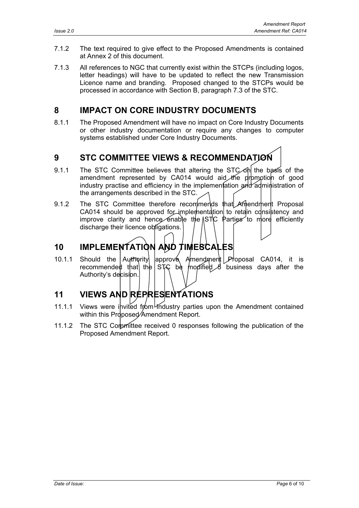- 7.1.2 The text required to give effect to the Proposed Amendments is contained at Annex 2 of this document.
- 7.1.3 All references to NGC that currently exist within the STCPs (including logos, letter headings) will have to be updated to reflect the new Transmission Licence name and branding. Proposed changed to the STCPs would be processed in accordance with Section B, paragraph 7.3 of the STC.

# **8 IMPACT ON CORE INDUSTRY DOCUMENTS**

8.1.1 The Proposed Amendment will have no impact on Core Industry Documents or other industry documentation or require any changes to computer systems established under Core Industry Documents.

# **9 STC COMMITTEE VIEWS & RECOMMENDATION**

- 9.1.1 The STC Committee believes that altering the STC on the basis of the amendment represented by CA014 would aid the promotion of good industry practise and efficiency in the implementation and administration of the arrangements described in the STC.
- 9.1.2 The STC Committee therefore recommends that Amendment Proposal CA014 should be approved for implementation to retain consistency and improve clarity and hence enable the  $\|\text{STC} \|^2$  parties to more efficiently discharge their licence obligations.

# **10 IMPLEMENTATION AND TIMESCALES**

10.1.1 Should the Authority approve Amendment Proposal CA014, it is recommended that the STC be modified  $\beta$  business days after the Authority's decision.

# **11 VIEWS AND REPRESENTATIONS**

- 11.1.1 Views were invited from Industry parties upon the Amendment contained within this Proposed Amendment Report.
- 11.1.2 The STC Comprifitee received 0 responses following the publication of the Proposed Amendment Report.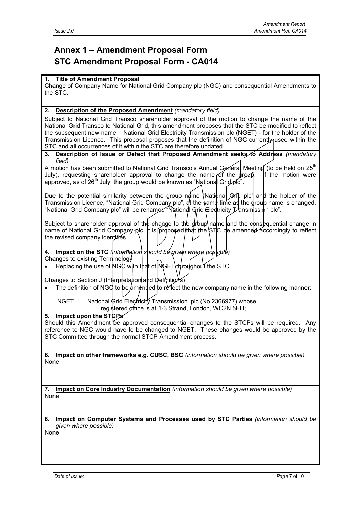# **Annex 1 – Amendment Proposal Form STC Amendment Proposal Form - CA014**

#### **1. Title of Amendment Proposal**

Change of Company Name for National Grid Company plc (NGC) and consequential Amendments to the STC.

#### **2. Description of the Proposed Amendment** *(mandatory field)*

Subject to National Grid Transco shareholder approval of the motion to change the name of the National Grid Transco to National Grid, this amendment proposes that the STC be modified to reflect the subsequent new name – National Grid Electricity Transmission plc (NGET) - for the holder of the Transmission Licence. This proposal proposes that the definition of NGC currently used within the STC and all occurrences of it within the STC are therefore updated.

#### **3. Description of Issue or Defect that Proposed Amendment seeks to Address** *(mandatory field)*

A motion has been submitted to National Grid Transco's Annual General Meeting (to be held on  $25<sup>th</sup>$ July), requesting shareholder approval to change the name of the  $\frac{1}{2}$  or if the motion were approved, as of 26<sup>th</sup> July, the group would be known as "National Grid plc".

Due to the potential similarity between the group name  $\theta$  National Grid plc" and the holder of the Transmission Licence, "National Grid Company plc", at the same time as the group name is changed, "National Grid Company plc" will be renamed "National Grid Electricity Transmission plc".

Subject to shareholder approval of the change to the group name and the consequential change in name of National Grid Company plc, it is proposed that the STC be amended accordingly to reflect the revised company identities.

**4. Impact on the STC** *(information should be given where possible)*

Changes to existing Terminology

Replacing the use of NGC with that of NGET throughout the STC

Changes to Section J (Interpretation and Definitions)

• The definition of NGC to be amended to reflect the new company name in the following manner:

 NGET National Grid Electricity Transmission plc (No 2366977) whose registered office is at 1-3 Strand, London, WC2N 5EH;

#### **5. Impact upon the STCPs**

Should this Amendment be approved consequential changes to the STCPs will be required. Any reference to NGC would have to be changed to NGET. These changes would be approved by the STC Committee through the normal STCP Amendment process.

**6. Impact on other frameworks e.g. CUSC, BSC** *(information should be given where possible)* None

**7. Impact on Core Industry Documentation** *(information should be given where possible)* None

**8. Impact on Computer Systems and Processes used by STC Parties** *(information should be given where possible)*

None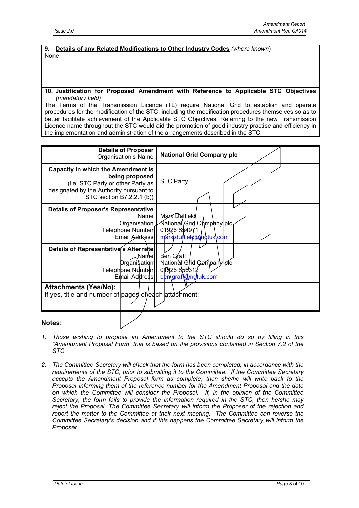**9. Details of any Related Modifications to Other Industry Codes** *(where known*) None

#### **10. Justification for Proposed Amendment with Reference to Applicable STC Objectives** *(mandatory field)*

The Terms of the Transmission Licence (TL) require National Grid to establish and operate procedures for the modification of the STC, including the modification procedures themselves so as to better facilitate achievement of the Applicable STC Objectives. Referring to the new Transmission Licence name throughout the STC would aid the promotion of good industry practise and efficiency in the implementation and administration of the arrangements described in the STC.



- 
- *1. Those wishing to propose an Amendment to the STC should do so by filling in this "Amendment Proposal Form" that is based on the provisions contained in Section 7.2 of the STC.*
- *2. The Committee Secretary will check that the form has been completed, in accordance with the requirements of the STC, prior to submitting it to the Committee. If the Committee Secretary accepts the Amendment Proposal form as complete, then she/he will write back to the Proposer informing them of the reference number for the Amendment Proposal and the date on which the Committee will consider the Proposal. If, in the opinion of the Committee Secretary, the form fails to provide the information required in the STC, then he/she may reject the Proposal. The Committee Secretary will inform the Proposer of the rejection and report the matter to the Committee at their next meeting. The Committee can reverse the Committee Secretary's decision and if this happens the Committee Secretary will inform the Proposer.*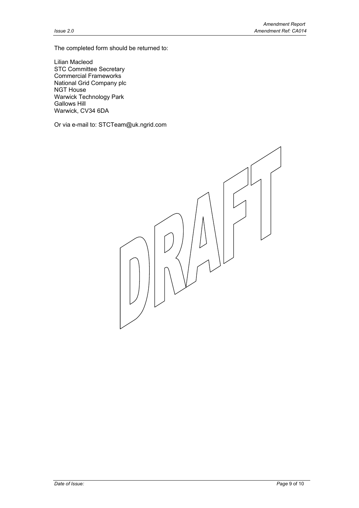The completed form should be returned to:

Lilian Macleod STC Committee Secretary Commercial Frameworks National Grid Company plc NGT House Warwick Technology Park Gallows Hill Warwick, CV34 6DA

Or via e-mail to: STCTeam@uk.ngrid.com